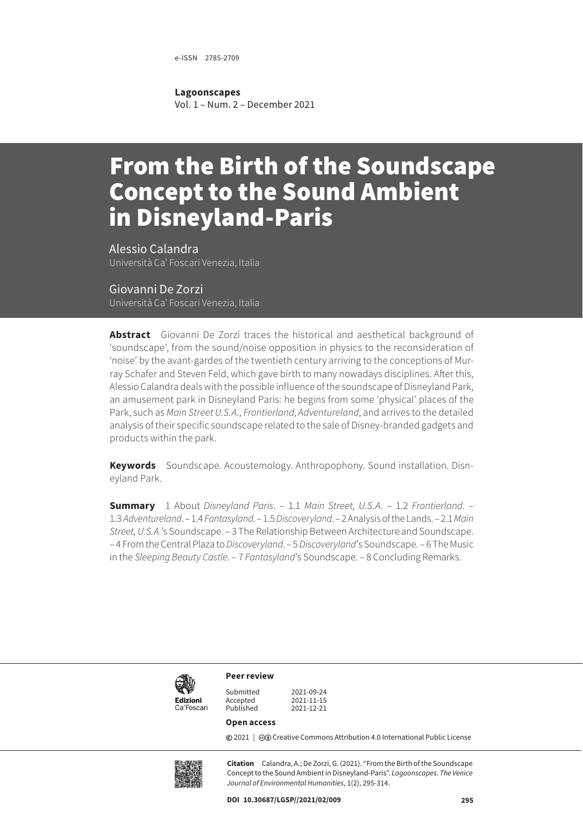e-ISSN 2785-2709

**Lagoonscapes**

Vol. 1 – Num. 2 – December 2021

# From the Birth of the Soundscape Concept to the Sound Ambient in Disneyland-Paris

Alessio Calandra Università Ca' Foscari Venezia, Italia

Giovanni De Zorzi Università Ca' Foscari Venezia, Italia

**Abstract** Giovanni De Zorzi traces the historical and aesthetical background of 'soundscape', from the sound/noise opposition in physics to the reconsideration of 'noise' by the avant-gardes of the twentieth century arriving to the conceptions of Murray Schafer and Steven Feld, which gave birth to many nowadays disciplines. After this, Alessio Calandra deals with the possible influence of the soundscape of Disneyland Park, an amusement park in Disneyland Paris: he begins from some 'physical' places of the Park, such as *Main Street U.S.A.*, *Frontierland*, *Adventureland*, and arrives to the detailed analysis of their specific soundscape related to the sale of Disney-branded gadgets and products within the park.

**Keywords** Soundscape. Acoustemology. Anthropophony. Sound installation. Disneyland Park.

**Summary** 1 About *[Disneyland Paris](#page-5-0)*. – 1.1 *[Main Street, U.S.A.](#page-5-0)* – 1.2 *[Frontierland](#page-5-0)*. – 1.3 *[Adventureland](#page-6-0)*. – 1.4 *[Fantasyland](#page-6-0)*. – 1.5 *[Discoveryland](#page-6-0)*. – [2 Analysis of the Lands.](#page-6-0) – 2.1 *[Main](#page-7-0)  Street, U.S.A.*['s Soundscape](#page-7-0). – [3 The Relationship Between Architecture and Soundscape.](#page-8-0) – [4 From the Central Plaza to](#page-9-0) *Discoveryland*. – 5 *Discoveryland*['s Soundscape.](#page-10-0) – [6 The Music](#page-12-0)  in the *[Sleeping Beauty Castle](#page-12-0)*. – 7 *Fantasyland*['s Soundscape.](#page-13-0) – [8 Concluding Remarks](#page-16-0).



**Peer review**

Accepted<br>Published

Submitted 2021-09-24<br>Accepted 2021-11-15 Published 2021-12-21

#### **Open access**

**©** 2021 | ©**O** [Creative Commons Attribution 4.0 International Public License](https://creativecommons.org/licenses/by/4.0/)



**Citation** Calandra, A.; De Zorzi, G. (2021). "From the Birth of the Soundscape Concept to the Sound Ambient in Disneyland-Paris". *Lagoonscapes. The Venice Journal of Environmental Humanities*, 1(2), 295-314.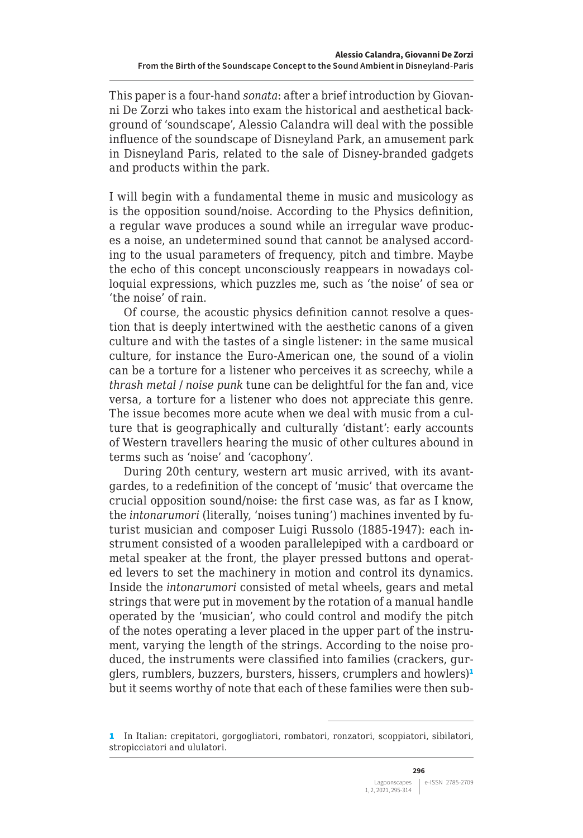This paper is a four-hand *sonata*: after a brief introduction by Giovanni De Zorzi who takes into exam the historical and aesthetical background of 'soundscape', Alessio Calandra will deal with the possible influence of the soundscape of Disneyland Park, an amusement park in Disneyland Paris, related to the sale of Disney-branded gadgets and products within the park.

I will begin with a fundamental theme in music and musicology as is the opposition sound/noise. According to the Physics definition, a regular wave produces a sound while an irregular wave produces a noise, an undetermined sound that cannot be analysed according to the usual parameters of frequency, pitch and timbre. Maybe the echo of this concept unconsciously reappears in nowadays colloquial expressions, which puzzles me, such as 'the noise' of sea or 'the noise' of rain.

Of course, the acoustic physics definition cannot resolve a question that is deeply intertwined with the aesthetic canons of a given culture and with the tastes of a single listener: in the same musical culture, for instance the Euro-American one, the sound of a violin can be a torture for a listener who perceives it as screechy, while a *thrash metal* / *noise punk* tune can be delightful for the fan and, vice versa, a torture for a listener who does not appreciate this genre. The issue becomes more acute when we deal with music from a culture that is geographically and culturally 'distant': early accounts of Western travellers hearing the music of other cultures abound in terms such as 'noise' and 'cacophony'.

During 20th century, western art music arrived, with its avantgardes, to a redefinition of the concept of 'music' that overcame the crucial opposition sound/noise: the first case was, as far as I know, the *intonarumori* (literally, 'noises tuning') machines invented by futurist musician and composer Luigi Russolo (1885-1947): each instrument consisted of a wooden parallelepiped with a cardboard or metal speaker at the front, the player pressed buttons and operated levers to set the machinery in motion and control its dynamics. Inside the *intonarumori* consisted of metal wheels, gears and metal strings that were put in movement by the rotation of a manual handle operated by the 'musician', who could control and modify the pitch of the notes operating a lever placed in the upper part of the instrument, varying the length of the strings. According to the noise produced, the instruments were classified into families (crackers, gurglers, rumblers, buzzers, bursters, hissers, crumplers and howlers)<sup>1</sup> but it seems worthy of note that each of these families were then sub-

<sup>1</sup> In Italian: crepitatori, gorgogliatori, rombatori, ronzatori, scoppiatori, sibilatori, stropicciatori and ululatori.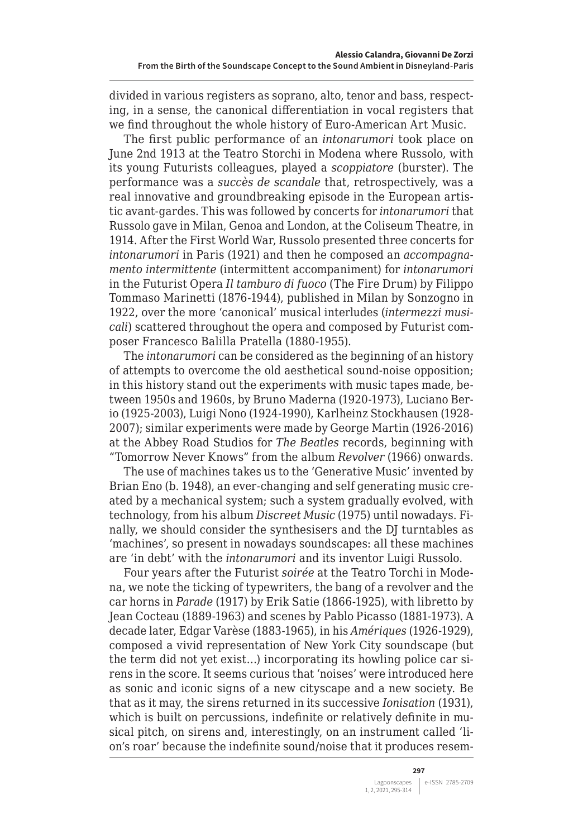divided in various registers as soprano, alto, tenor and bass, respecting, in a sense, the canonical differentiation in vocal registers that we find throughout the whole history of Euro-American Art Music.

The first public performance of an *intonarumori* took place on June 2nd 1913 at the Teatro Storchi in Modena where Russolo, with its young Futurists colleagues, played a *scoppiatore* (burster). The performance was a *succès de scandale* that, retrospectively, was a real innovative and groundbreaking episode in the European artistic avant-gardes. This was followed by concerts for *intonarumori* that Russolo gave in Milan, Genoa and London, at the Coliseum Theatre, in 1914. After the First World War, Russolo presented three concerts for *intonarumori* in Paris (1921) and then he composed an *accompagnamento intermittente* (intermittent accompaniment) for *intonarumori* in the Futurist Opera *Il tamburo di fuoco* (The Fire Drum) by Filippo Tommaso Marinetti (1876-1944), published in Milan by Sonzogno in 1922, over the more 'canonical' musical interludes (*intermezzi musicali*) scattered throughout the opera and composed by Futurist composer Francesco Balilla Pratella (1880-1955).

The *intonarumori* can be considered as the beginning of an history of attempts to overcome the old aesthetical sound-noise opposition; in this history stand out the experiments with music tapes made, between 1950s and 1960s, by Bruno Maderna (1920-1973), Luciano Berio (1925-2003), Luigi Nono (1924-1990), Karlheinz Stockhausen (1928- 2007); similar experiments were made by George Martin (1926-2016) at the Abbey Road Studios for *The Beatles* records, beginning with "Tomorrow Never Knows" from the album *Revolver* (1966) onwards.

The use of machines takes us to the 'Generative Music' invented by Brian Eno (b. 1948), an ever-changing and self generating music created by a mechanical system; such a system gradually evolved, with technology, from his album *Discreet Music* (1975) until nowadays. Finally, we should consider the synthesisers and the DJ turntables as 'machines', so present in nowadays soundscapes: all these machines are 'in debt' with the *intonarumori* and its inventor Luigi Russolo.

Four years after the Futurist *soirée* at the Teatro Torchi in Modena, we note the ticking of typewriters, the bang of a revolver and the car horns in *Parade* (1917) by Erik Satie (1866-1925), with libretto by Jean Cocteau (1889-1963) and scenes by Pablo Picasso (1881-1973). A decade later, Edgar Varèse (1883-1965), in his *Amériques* (1926-1929), composed a vivid representation of New York City soundscape (but the term did not yet exist…) incorporating its howling police car sirens in the score. It seems curious that 'noises' were introduced here as sonic and iconic signs of a new cityscape and a new society. Be that as it may, the sirens returned in its successive *Ionisation* (1931), which is built on percussions, indefinite or relatively definite in musical pitch, on sirens and, interestingly, on an instrument called 'lion's roar' because the indefinite sound/noise that it produces resem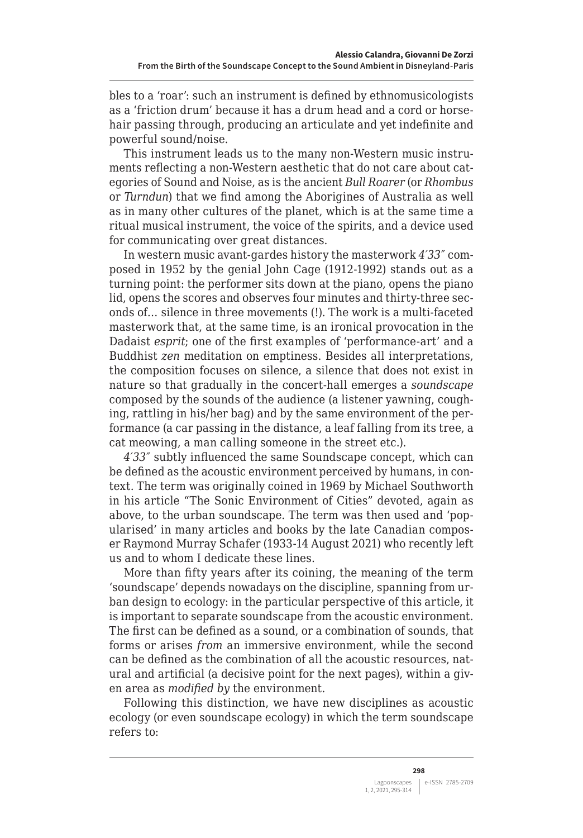bles to a 'roar': such an instrument is defined by ethnomusicologists as a 'friction drum' because it has a drum head and a cord or horsehair passing through, producing an articulate and yet indefinite and powerful sound/noise.

This instrument leads us to the many non-Western music instruments reflecting a non-Western aesthetic that do not care about categories of Sound and Noise, as is the ancient *Bull Roarer* (or *Rhombus* or *Turndun*) that we find among the Aborigines of Australia as well as in many other cultures of the planet, which is at the same time a ritual musical instrument, the voice of the spirits, and a device used for communicating over great distances.

In western music avant-gardes history the masterwork *4′33″* composed in 1952 by the genial John Cage (1912-1992) stands out as a turning point: the performer sits down at the piano, opens the piano lid, opens the scores and observes four minutes and thirty-three seconds of… silence in three movements (!). The work is a multi-faceted masterwork that, at the same time, is an ironical provocation in the Dadaist *esprit*; one of the first examples of 'performance-art' and a Buddhist *zen* meditation on emptiness. Besides all interpretations, the composition focuses on silence, a silence that does not exist in nature so that gradually in the concert-hall emerges a *soundscape* composed by the sounds of the audience (a listener yawning, coughing, rattling in his/her bag) and by the same environment of the performance (a car passing in the distance, a leaf falling from its tree, a cat meowing, a man calling someone in the street etc.).

*4′33″* subtly influenced the same Soundscape concept, which can be defined as the acoustic environment perceived by humans, in context. The term was originally coined in 1969 by Michael Southworth in his article "The Sonic Environment of Cities" devoted, again as above, to the urban soundscape. The term was then used and 'popularised' in many articles and books by the late Canadian composer Raymond Murray Schafer (1933-14 August 2021) who recently left us and to whom I dedicate these lines.

More than fifty years after its coining, the meaning of the term 'soundscape' depends nowadays on the discipline, spanning from urban design to ecology: in the particular perspective of this article, it is important to separate soundscape from the acoustic environment. The first can be defined as a sound, or a combination of sounds, that forms or arises *from* an immersive environment, while the second can be defined as the combination of all the acoustic resources, natural and artificial (a decisive point for the next pages), within a given area as *modified by* the environment.

Following this distinction, we have new disciplines as acoustic ecology (or even soundscape ecology) in which the term soundscape refers to: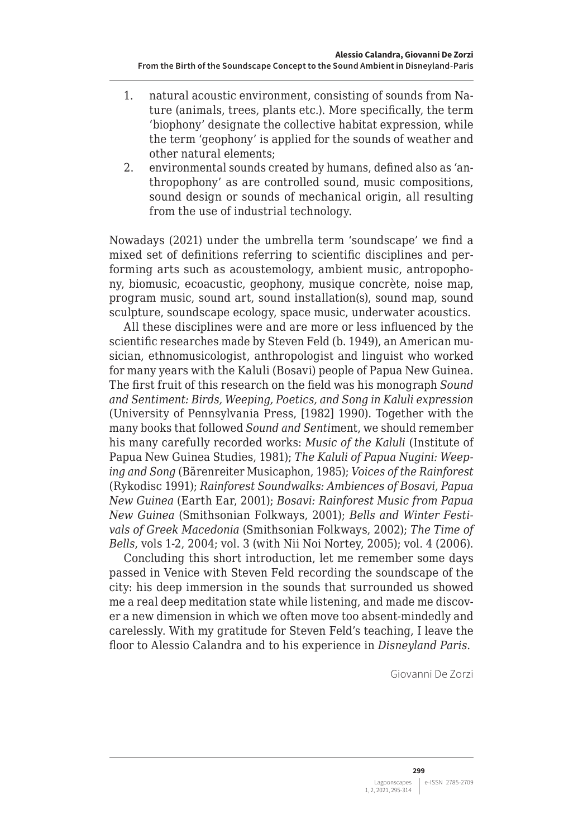- 1. natural acoustic environment, consisting of sounds from Nature (animals, trees, plants etc.). More specifically, the term 'biophony' designate the collective habitat expression, while the term 'geophony' is applied for the sounds of weather and other natural elements;
- 2. environmental sounds created by humans, defined also as 'anthropophony' as are controlled sound, music compositions, sound design or sounds of mechanical origin, all resulting from the use of industrial technology.

Nowadays (2021) under the umbrella term 'soundscape' we find a mixed set of definitions referring to scientific disciplines and performing arts such as acoustemology, ambient music, antropophony, biomusic, ecoacustic, geophony, musique concrète, noise map, program music, sound art, sound installation(s), sound map, sound sculpture, soundscape ecology, space music, underwater acoustics.

All these disciplines were and are more or less influenced by the scientific researches made by Steven Feld (b. 1949), an American musician, ethnomusicologist, anthropologist and linguist who worked for many years with the Kaluli (Bosavi) people of Papua New Guinea. The first fruit of this research on the field was his monograph *Sound and Sentiment: Birds, Weeping, Poetics, and Song in Kaluli expression* (University of Pennsylvania Press, [1982] 1990). Together with the many books that followed *Sound and Senti*ment, we should remember his many carefully recorded works: *Music of the Kaluli* (Institute of Papua New Guinea Studies, 1981); *The Kaluli of Papua Nugini: Weeping and Song* (Bärenreiter Musicaphon, 1985); *Voices of the Rainforest* (Rykodisc 1991); *Rainforest Soundwalks: Ambiences of Bosavi, Papua New Guinea* (Earth Ear, 2001); *Bosavi: Rainforest Music from Papua New Guinea* (Smithsonian Folkways, 2001); *Bells and Winter Festivals of Greek Macedonia* (Smithsonian Folkways, 2002); *The Time of Bells*, vols 1-2, 2004; vol. 3 (with Nii Noi Nortey, 2005); vol. 4 (2006).

Concluding this short introduction, let me remember some days passed in Venice with Steven Feld recording the soundscape of the city: his deep immersion in the sounds that surrounded us showed me a real deep meditation state while listening, and made me discover a new dimension in which we often move too absent-mindedly and carelessly. With my gratitude for Steven Feld's teaching, I leave the floor to Alessio Calandra and to his experience in *Disneyland Paris*.

Giovanni De Zorzi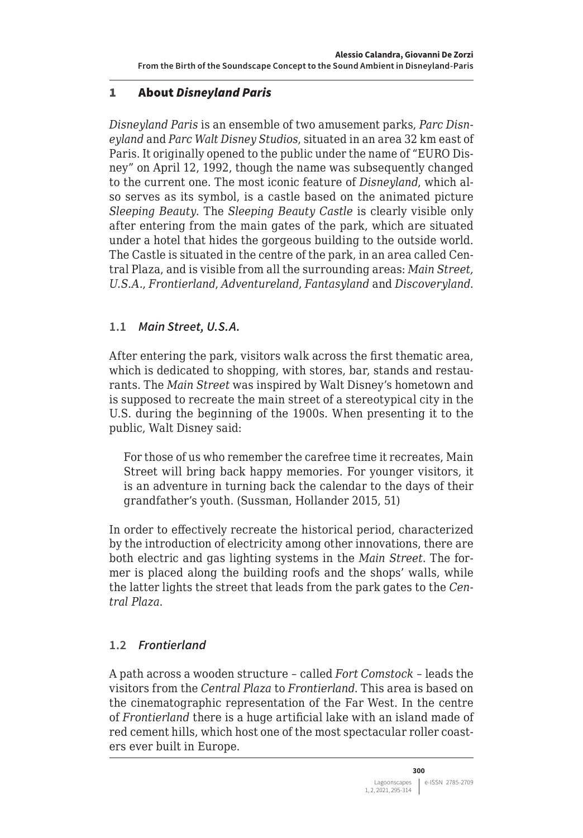# <span id="page-5-0"></span>1 About *Disneyland Paris*

*Disneyland Paris* is an ensemble of two amusement parks, *Parc Disneyland* and *Parc Walt Disney Studios*, situated in an area 32 km east of Paris. It originally opened to the public under the name of "EURO Disney" on April 12, 1992, though the name was subsequently changed to the current one. The most iconic feature of *Disneyland*, which also serves as its symbol, is a castle based on the animated picture *Sleeping Beauty*. The *Sleeping Beauty Castle* is clearly visible only after entering from the main gates of the park, which are situated under a hotel that hides the gorgeous building to the outside world. The Castle is situated in the centre of the park, in an area called Central Plaza, and is visible from all the surrounding areas: *Main Street, U.S.A.*, *Frontierland*, *Adventureland*, *Fantasyland* and *Discoveryland*.

#### **1.1** *Main Street, U.S.A.*

After entering the park, visitors walk across the first thematic area, which is dedicated to shopping, with stores, bar, stands and restaurants. The *Main Street* was inspired by Walt Disney's hometown and is supposed to recreate the main street of a stereotypical city in the U.S. during the beginning of the 1900s. When presenting it to the public, Walt Disney said:

For those of us who remember the carefree time it recreates, Main Street will bring back happy memories. For younger visitors, it is an adventure in turning back the calendar to the days of their grandfather's youth. (Sussman, Hollander 2015, 51)

In order to effectively recreate the historical period, characterized by the introduction of electricity among other innovations, there are both electric and gas lighting systems in the *Main Street*. The former is placed along the building roofs and the shops' walls, while the latter lights the street that leads from the park gates to the *Central Plaza*.

#### **1.2** *Frontierland*

A path across a wooden structure – called *Fort Comstock* – leads the visitors from the *Central Plaza* to *Frontierland*. This area is based on the cinematographic representation of the Far West. In the centre of *Frontierland* there is a huge artificial lake with an island made of red cement hills, which host one of the most spectacular roller coasters ever built in Europe.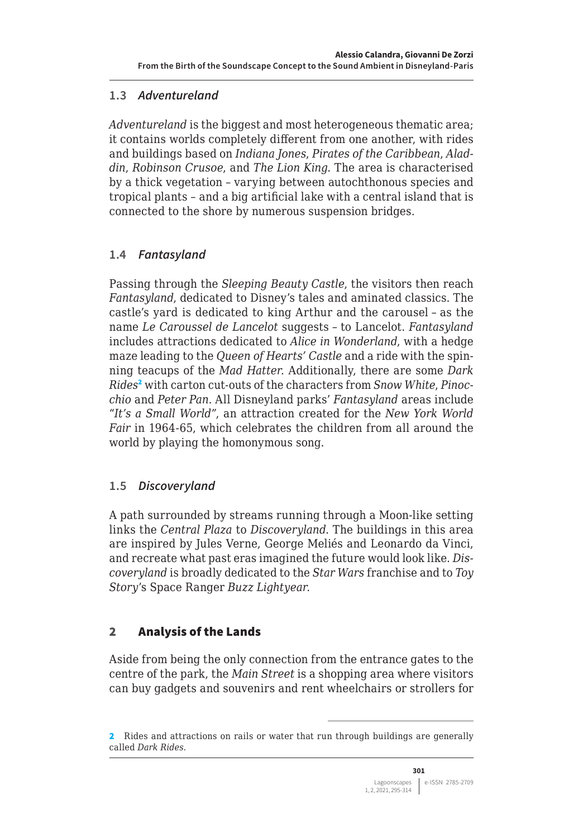# <span id="page-6-0"></span>**1.3** *Adventureland*

*Adventureland* is the biggest and most heterogeneous thematic area; it contains worlds completely different from one another, with rides and buildings based on *Indiana Jones*, *Pirates of the Caribbean*, *Aladdin*, *Robinson Crusoe*, and *The Lion King*. The area is characterised by a thick vegetation – varying between autochthonous species and tropical plants – and a big artificial lake with a central island that is connected to the shore by numerous suspension bridges.

# **1.4** *Fantasyland*

Passing through the *Sleeping Beauty Castle*, the visitors then reach *Fantasyland*, dedicated to Disney's tales and aminated classics. The castle's yard is dedicated to king Arthur and the carousel – as the name *Le Caroussel de Lancelot* suggests – to Lancelot. *Fantasyland*  includes attractions dedicated to *Alice in Wonderland*, with a hedge maze leading to the *Queen of Hearts' Castle* and a ride with the spinning teacups of the *Mad Hatter*. Additionally, there are some *Dark Rides*<sup>2</sup> with carton cut-outs of the characters from *Snow White*, *Pinocchio* and *Peter Pan*. All Disneyland parks' *Fantasyland* areas include "*It's a Small World"*, an attraction created for the *New York World Fair* in 1964-65, which celebrates the children from all around the world by playing the homonymous song.

#### **1.5** *Discoveryland*

A path surrounded by streams running through a Moon-like setting links the *Central Plaza* to *Discoveryland*. The buildings in this area are inspired by Jules Verne, George Meliés and Leonardo da Vinci, and recreate what past eras imagined the future would look like. *Discoveryland* is broadly dedicated to the *Star Wars* franchise and to *Toy Story*'s Space Ranger *Buzz Lightyear*.

# 2 Analysis of the Lands

Aside from being the only connection from the entrance gates to the centre of the park, the *Main Street* is a shopping area where visitors can buy gadgets and souvenirs and rent wheelchairs or strollers for

<sup>2</sup> Rides and attractions on rails or water that run through buildings are generally called *Dark Rides*.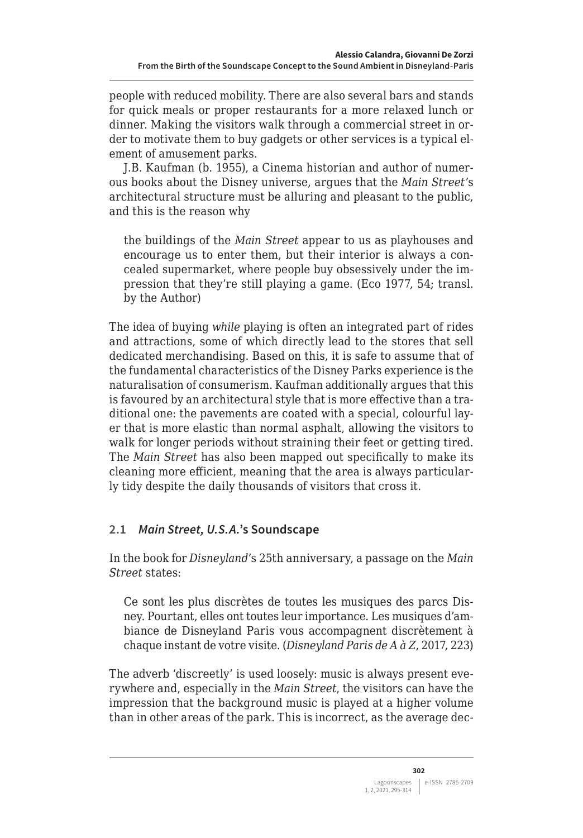<span id="page-7-0"></span>people with reduced mobility. There are also several bars and stands for quick meals or proper restaurants for a more relaxed lunch or dinner. Making the visitors walk through a commercial street in order to motivate them to buy gadgets or other services is a typical element of amusement parks.

J.B. Kaufman (b. 1955), a Cinema historian and author of numerous books about the Disney universe, argues that the *Main Street*'s architectural structure must be alluring and pleasant to the public, and this is the reason why

the buildings of the *Main Street* appear to us as playhouses and encourage us to enter them, but their interior is always a concealed supermarket, where people buy obsessively under the impression that they're still playing a game. (Eco 1977, 54; transl. by the Author)

The idea of buying *while* playing is often an integrated part of rides and attractions, some of which directly lead to the stores that sell dedicated merchandising. Based on this, it is safe to assume that of the fundamental characteristics of the Disney Parks experience is the naturalisation of consumerism. Kaufman additionally argues that this is favoured by an architectural style that is more effective than a traditional one: the pavements are coated with a special, colourful layer that is more elastic than normal asphalt, allowing the visitors to walk for longer periods without straining their feet or getting tired. The *Main Street* has also been mapped out specifically to make its cleaning more efficient, meaning that the area is always particularly tidy despite the daily thousands of visitors that cross it.

# **2.1** *Main Street, U.S.A.***'s Soundscape**

In the book for *Disneyland*'s 25th anniversary, a passage on the *Main Street* states:

Ce sont les plus discrètes de toutes les musiques des parcs Disney. Pourtant, elles ont toutes leur importance. Les musiques d'ambiance de Disneyland Paris vous accompagnent discrètement à chaque instant de votre visite. (*Disneyland Paris de A à Z*, 2017, 223)

The adverb 'discreetly' is used loosely: music is always present everywhere and, especially in the *Main Street*, the visitors can have the impression that the background music is played at a higher volume than in other areas of the park. This is incorrect, as the average dec-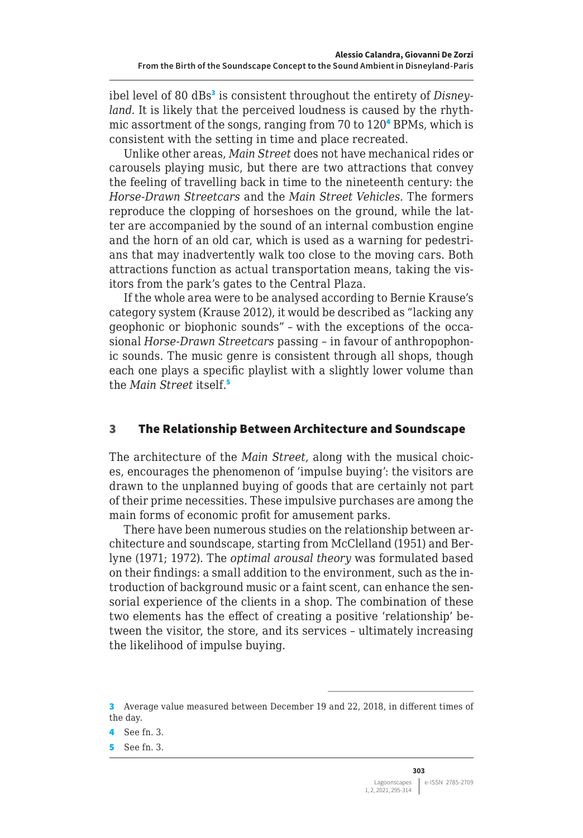<span id="page-8-0"></span>ibel level of 80 dBs<sup>3</sup> is consistent throughout the entirety of *Disneyland*. It is likely that the perceived loudness is caused by the rhythmic assortment of the songs, ranging from 70 to 120<sup>4</sup> BPMs, which is consistent with the setting in time and place recreated.

Unlike other areas, *Main Street* does not have mechanical rides or carousels playing music, but there are two attractions that convey the feeling of travelling back in time to the nineteenth century: the *Horse-Drawn Streetcars* and the *Main Street Vehicles*. The formers reproduce the clopping of horseshoes on the ground, while the latter are accompanied by the sound of an internal combustion engine and the horn of an old car, which is used as a warning for pedestrians that may inadvertently walk too close to the moving cars. Both attractions function as actual transportation means, taking the visitors from the park's gates to the Central Plaza.

If the whole area were to be analysed according to Bernie Krause's category system (Krause 2012), it would be described as "lacking any geophonic or biophonic sounds" – with the exceptions of the occasional *Horse-Drawn Streetcars* passing – in favour of anthropophonic sounds. The music genre is consistent through all shops, though each one plays a specific playlist with a slightly lower volume than the *Main Street* itself.<sup>5</sup>

#### 3 The Relationship Between Architecture and Soundscape

The architecture of the *Main Street*, along with the musical choices, encourages the phenomenon of 'impulse buying': the visitors are drawn to the unplanned buying of goods that are certainly not part of their prime necessities. These impulsive purchases are among the main forms of economic profit for amusement parks.

There have been numerous studies on the relationship between architecture and soundscape, starting from McClelland (1951) and Berlyne (1971; 1972). The *optimal arousal theory* was formulated based on their findings: a small addition to the environment, such as the introduction of background music or a faint scent, can enhance the sensorial experience of the clients in a shop. The combination of these two elements has the effect of creating a positive 'relationship' between the visitor, the store, and its services – ultimately increasing the likelihood of impulse buying.

<sup>3</sup> Average value measured between December 19 and 22, 2018, in different times of the day.

<sup>4</sup> See fn. 3.

<sup>5</sup> See fn. 3.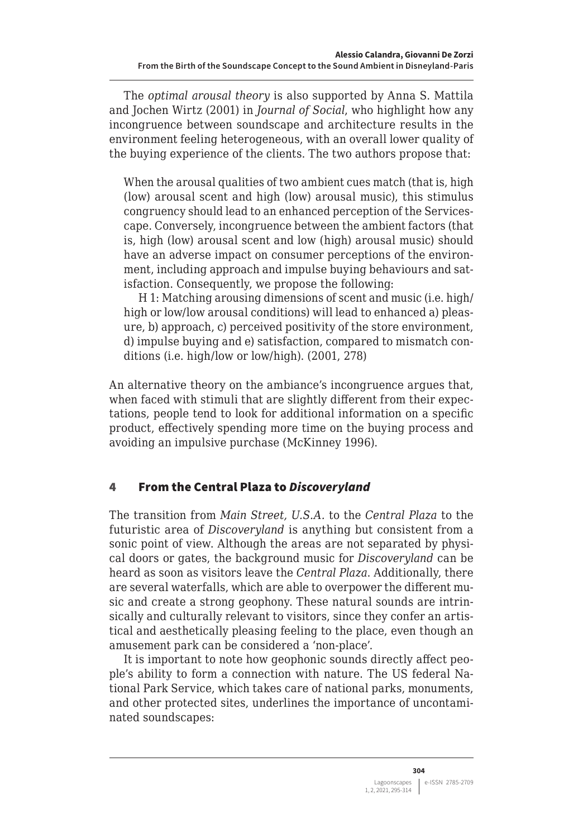<span id="page-9-0"></span>The *optimal arousal theory* is also supported by Anna S. Mattila and Jochen Wirtz (2001) in *Journal of Social*, who highlight how any incongruence between soundscape and architecture results in the environment feeling heterogeneous, with an overall lower quality of the buying experience of the clients. The two authors propose that:

When the arousal qualities of two ambient cues match (that is, high (low) arousal scent and high (low) arousal music), this stimulus congruency should lead to an enhanced perception of the Servicescape. Conversely, incongruence between the ambient factors (that is, high (low) arousal scent and low (high) arousal music) should have an adverse impact on consumer perceptions of the environment, including approach and impulse buying behaviours and satisfaction. Consequently, we propose the following:

H 1: Matching arousing dimensions of scent and music (i.e. high/ high or low/low arousal conditions) will lead to enhanced a) pleasure, b) approach, c) perceived positivity of the store environment, d) impulse buying and e) satisfaction, compared to mismatch conditions (i.e. high/low or low/high). (2001, 278)

An alternative theory on the ambiance's incongruence argues that, when faced with stimuli that are slightly different from their expectations, people tend to look for additional information on a specific product, effectively spending more time on the buying process and avoiding an impulsive purchase (McKinney 1996).

# 4 From the Central Plaza to *Discoveryland*

The transition from *Main Street, U.S.A.* to the *Central Plaza* to the futuristic area of *Discoveryland* is anything but consistent from a sonic point of view. Although the areas are not separated by physical doors or gates, the background music for *Discoveryland* can be heard as soon as visitors leave the *Central Plaza*. Additionally, there are several waterfalls, which are able to overpower the different music and create a strong geophony. These natural sounds are intrinsically and culturally relevant to visitors, since they confer an artistical and aesthetically pleasing feeling to the place, even though an amusement park can be considered a 'non-place'.

It is important to note how geophonic sounds directly affect people's ability to form a connection with nature. The US federal National Park Service, which takes care of national parks, monuments, and other protected sites, underlines the importance of uncontaminated soundscapes: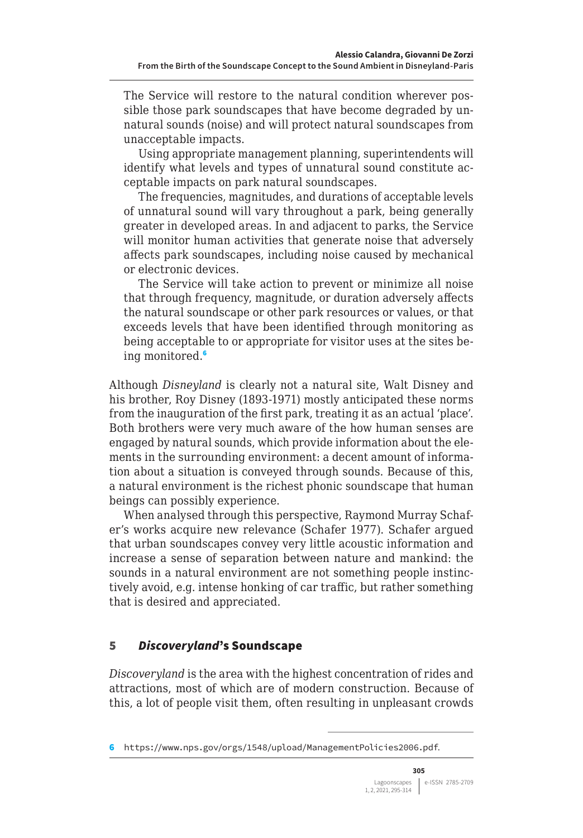<span id="page-10-0"></span>The Service will restore to the natural condition wherever possible those park soundscapes that have become degraded by unnatural sounds (noise) and will protect natural soundscapes from unacceptable impacts.

Using appropriate management planning, superintendents will identify what levels and types of unnatural sound constitute acceptable impacts on park natural soundscapes.

The frequencies, magnitudes, and durations of acceptable levels of unnatural sound will vary throughout a park, being generally greater in developed areas. In and adjacent to parks, the Service will monitor human activities that generate noise that adversely affects park soundscapes, including noise caused by mechanical or electronic devices.

The Service will take action to prevent or minimize all noise that through frequency, magnitude, or duration adversely affects the natural soundscape or other park resources or values, or that exceeds levels that have been identified through monitoring as being acceptable to or appropriate for visitor uses at the sites being monitored.<sup>6</sup>

Although *Disneyland* is clearly not a natural site, Walt Disney and his brother, Roy Disney (1893-1971) mostly anticipated these norms from the inauguration of the first park, treating it as an actual 'place'. Both brothers were very much aware of the how human senses are engaged by natural sounds, which provide information about the elements in the surrounding environment: a decent amount of information about a situation is conveyed through sounds. Because of this, a natural environment is the richest phonic soundscape that human beings can possibly experience.

When analysed through this perspective, Raymond Murray Schafer's works acquire new relevance (Schafer 1977). Schafer argued that urban soundscapes convey very little acoustic information and increase a sense of separation between nature and mankind: the sounds in a natural environment are not something people instinctively avoid, e.g. intense honking of car traffic, but rather something that is desired and appreciated.

#### 5 *Discoveryland*'s Soundscape

*Discoveryland* is the area with the highest concentration of rides and attractions, most of which are of modern construction. Because of this, a lot of people visit them, often resulting in unpleasant crowds

<sup>6</sup> <https://www.nps.gov/orgs/1548/upload/ManagementPolicies2006.pdf>.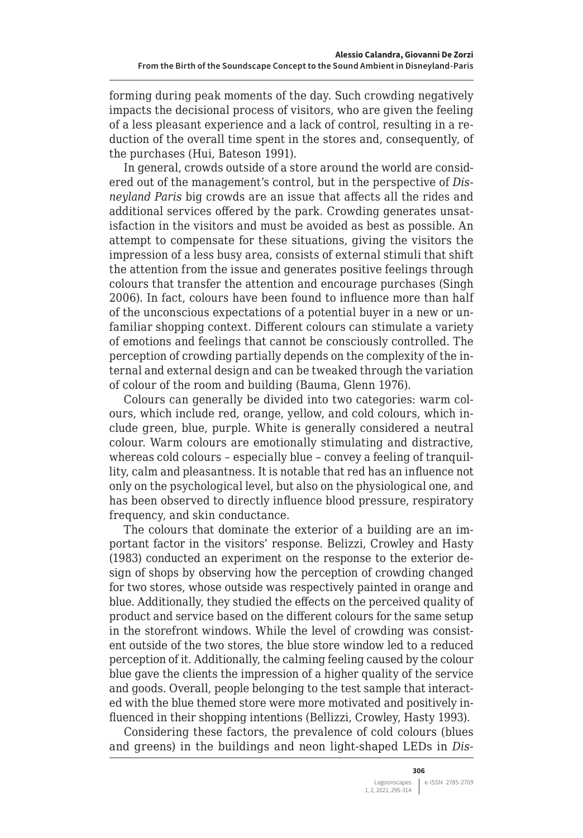forming during peak moments of the day. Such crowding negatively impacts the decisional process of visitors, who are given the feeling of a less pleasant experience and a lack of control, resulting in a reduction of the overall time spent in the stores and, consequently, of the purchases (Hui, Bateson 1991).

In general, crowds outside of a store around the world are considered out of the management's control, but in the perspective of *Disneyland Paris* big crowds are an issue that affects all the rides and additional services offered by the park. Crowding generates unsatisfaction in the visitors and must be avoided as best as possible. An attempt to compensate for these situations, giving the visitors the impression of a less busy area, consists of external stimuli that shift the attention from the issue and generates positive feelings through colours that transfer the attention and encourage purchases (Singh 2006). In fact, colours have been found to influence more than half of the unconscious expectations of a potential buyer in a new or unfamiliar shopping context. Different colours can stimulate a variety of emotions and feelings that cannot be consciously controlled. The perception of crowding partially depends on the complexity of the internal and external design and can be tweaked through the variation of colour of the room and building (Bauma, Glenn 1976).

Colours can generally be divided into two categories: warm colours, which include red, orange, yellow, and cold colours, which include green, blue, purple. White is generally considered a neutral colour. Warm colours are emotionally stimulating and distractive, whereas cold colours – especially blue – convey a feeling of tranquillity, calm and pleasantness. It is notable that red has an influence not only on the psychological level, but also on the physiological one, and has been observed to directly influence blood pressure, respiratory frequency, and skin conductance.

The colours that dominate the exterior of a building are an important factor in the visitors' response. Belizzi, Crowley and Hasty (1983) conducted an experiment on the response to the exterior design of shops by observing how the perception of crowding changed for two stores, whose outside was respectively painted in orange and blue. Additionally, they studied the effects on the perceived quality of product and service based on the different colours for the same setup in the storefront windows. While the level of crowding was consistent outside of the two stores, the blue store window led to a reduced perception of it. Additionally, the calming feeling caused by the colour blue gave the clients the impression of a higher quality of the service and goods. Overall, people belonging to the test sample that interacted with the blue themed store were more motivated and positively influenced in their shopping intentions (Bellizzi, Crowley, Hasty 1993).

Considering these factors, the prevalence of cold colours (blues and greens) in the buildings and neon light-shaped LEDs in *Dis-*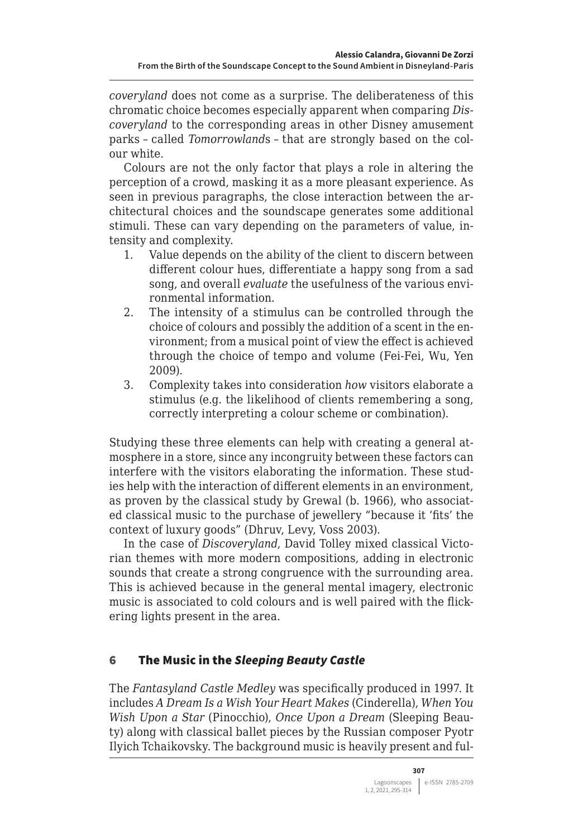<span id="page-12-0"></span>*coveryland* does not come as a surprise. The deliberateness of this chromatic choice becomes especially apparent when comparing *Discoveryland* to the corresponding areas in other Disney amusement parks – called *Tomorrowland*s – that are strongly based on the colour white.

Colours are not the only factor that plays a role in altering the perception of a crowd, masking it as a more pleasant experience. As seen in previous paragraphs, the close interaction between the architectural choices and the soundscape generates some additional stimuli. These can vary depending on the parameters of value, intensity and complexity.

- 1. Value depends on the ability of the client to discern between different colour hues, differentiate a happy song from a sad song, and overall *evaluate* the usefulness of the various environmental information.
- 2. The intensity of a stimulus can be controlled through the choice of colours and possibly the addition of a scent in the environment; from a musical point of view the effect is achieved through the choice of tempo and volume (Fei-Fei, Wu, Yen 2009).
- 3. Complexity takes into consideration *how* visitors elaborate a stimulus (e.g. the likelihood of clients remembering a song, correctly interpreting a colour scheme or combination).

Studying these three elements can help with creating a general atmosphere in a store, since any incongruity between these factors can interfere with the visitors elaborating the information. These studies help with the interaction of different elements in an environment, as proven by the classical study by Grewal (b. 1966), who associated classical music to the purchase of jewellery "because it 'fits' the context of luxury goods" (Dhruv, Levy, Voss 2003).

In the case of *Discoveryland*, David Tolley mixed classical Victorian themes with more modern compositions, adding in electronic sounds that create a strong congruence with the surrounding area. This is achieved because in the general mental imagery, electronic music is associated to cold colours and is well paired with the flickering lights present in the area.

# 6 The Music in the *Sleeping Beauty Castle*

The *Fantasyland Castle Medley* was specifically produced in 1997. It includes *A Dream Is a Wish Your Heart Makes* (Cinderella), *When You Wish Upon a Star* (Pinocchio), *Once Upon a Dream* (Sleeping Beauty) along with classical ballet pieces by the Russian composer Pyotr Ilyich Tchaikovsky. The background music is heavily present and ful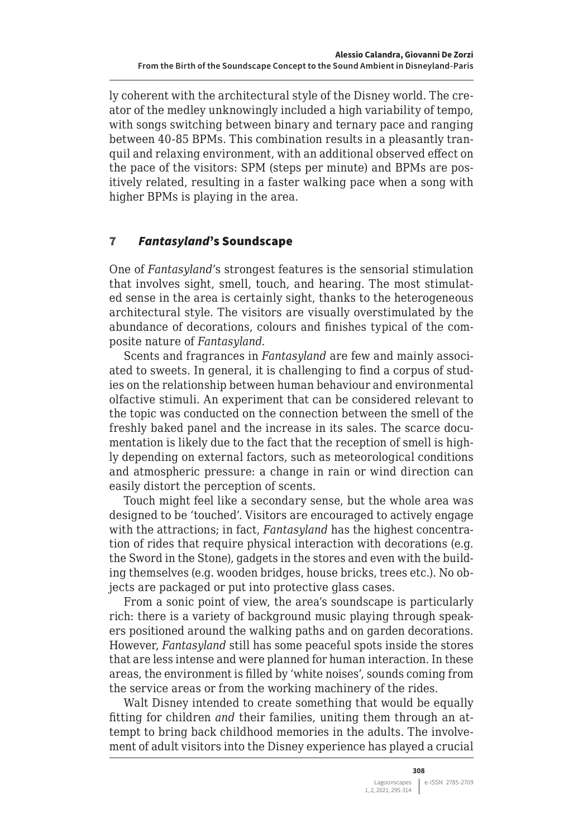<span id="page-13-0"></span>ly coherent with the architectural style of the Disney world. The creator of the medley unknowingly included a high variability of tempo, with songs switching between binary and ternary pace and ranging between 40-85 BPMs. This combination results in a pleasantly tranquil and relaxing environment, with an additional observed effect on the pace of the visitors: SPM (steps per minute) and BPMs are positively related, resulting in a faster walking pace when a song with higher BPMs is playing in the area.

# 7 *Fantasyland*'s Soundscape

One of *Fantasyland*'s strongest features is the sensorial stimulation that involves sight, smell, touch, and hearing. The most stimulated sense in the area is certainly sight, thanks to the heterogeneous architectural style. The visitors are visually overstimulated by the abundance of decorations, colours and finishes typical of the composite nature of *Fantasyland*.

Scents and fragrances in *Fantasyland* are few and mainly associated to sweets. In general, it is challenging to find a corpus of studies on the relationship between human behaviour and environmental olfactive stimuli. An experiment that can be considered relevant to the topic was conducted on the connection between the smell of the freshly baked panel and the increase in its sales. The scarce documentation is likely due to the fact that the reception of smell is highly depending on external factors, such as meteorological conditions and atmospheric pressure: a change in rain or wind direction can easily distort the perception of scents.

Touch might feel like a secondary sense, but the whole area was designed to be 'touched'. Visitors are encouraged to actively engage with the attractions; in fact, *Fantasyland* has the highest concentration of rides that require physical interaction with decorations (e.g. the Sword in the Stone), gadgets in the stores and even with the building themselves (e.g. wooden bridges, house bricks, trees etc.). No objects are packaged or put into protective glass cases.

From a sonic point of view, the area's soundscape is particularly rich: there is a variety of background music playing through speakers positioned around the walking paths and on garden decorations. However, *Fantasyland* still has some peaceful spots inside the stores that are less intense and were planned for human interaction. In these areas, the environment is filled by 'white noises', sounds coming from the service areas or from the working machinery of the rides.

Walt Disney intended to create something that would be equally fitting for children *and* their families, uniting them through an attempt to bring back childhood memories in the adults. The involvement of adult visitors into the Disney experience has played a crucial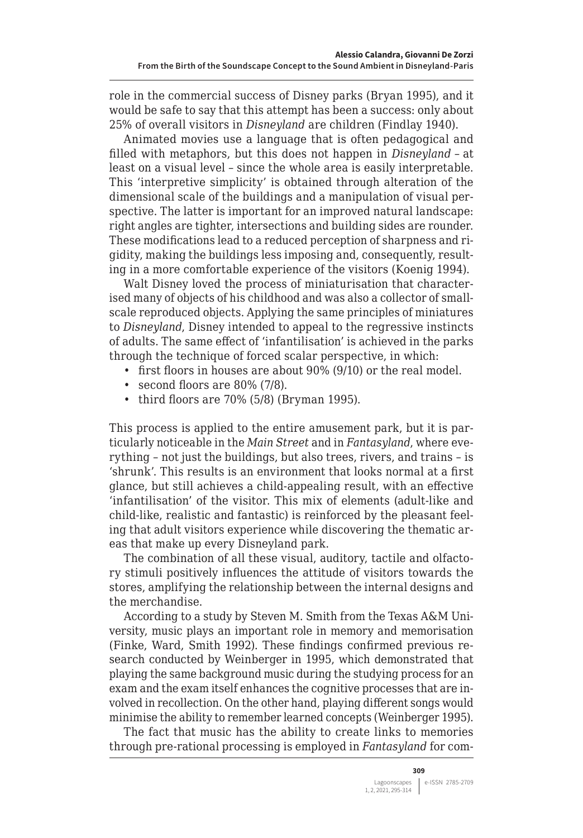role in the commercial success of Disney parks (Bryan 1995), and it would be safe to say that this attempt has been a success: only about 25% of overall visitors in *Disneyland* are children (Findlay 1940).

Animated movies use a language that is often pedagogical and filled with metaphors, but this does not happen in *Disneyland* – at least on a visual level – since the whole area is easily interpretable. This 'interpretive simplicity' is obtained through alteration of the dimensional scale of the buildings and a manipulation of visual perspective. The latter is important for an improved natural landscape: right angles are tighter, intersections and building sides are rounder. These modifications lead to a reduced perception of sharpness and rigidity, making the buildings less imposing and, consequently, resulting in a more comfortable experience of the visitors (Koenig 1994).

Walt Disney loved the process of miniaturisation that characterised many of objects of his childhood and was also a collector of smallscale reproduced objects. Applying the same principles of miniatures to *Disneyland*, Disney intended to appeal to the regressive instincts of adults. The same effect of 'infantilisation' is achieved in the parks through the technique of forced scalar perspective, in which:

- first floors in houses are about 90% (9/10) or the real model.
- second floors are 80% (7/8).
- third floors are 70% (5/8) (Bryman 1995).

This process is applied to the entire amusement park, but it is particularly noticeable in the *Main Street* and in *Fantasyland*, where everything – not just the buildings, but also trees, rivers, and trains – is 'shrunk'. This results is an environment that looks normal at a first glance, but still achieves a child-appealing result, with an effective 'infantilisation' of the visitor. This mix of elements (adult-like and child-like, realistic and fantastic) is reinforced by the pleasant feeling that adult visitors experience while discovering the thematic areas that make up every Disneyland park.

The combination of all these visual, auditory, tactile and olfactory stimuli positively influences the attitude of visitors towards the stores, amplifying the relationship between the internal designs and the merchandise.

According to a study by Steven M. Smith from the Texas A&M University, music plays an important role in memory and memorisation (Finke, Ward, Smith 1992). These findings confirmed previous research conducted by Weinberger in 1995, which demonstrated that playing the same background music during the studying process for an exam and the exam itself enhances the cognitive processes that are involved in recollection. On the other hand, playing different songs would minimise the ability to remember learned concepts (Weinberger 1995).

The fact that music has the ability to create links to memories through pre-rational processing is employed in *Fantasyland* for com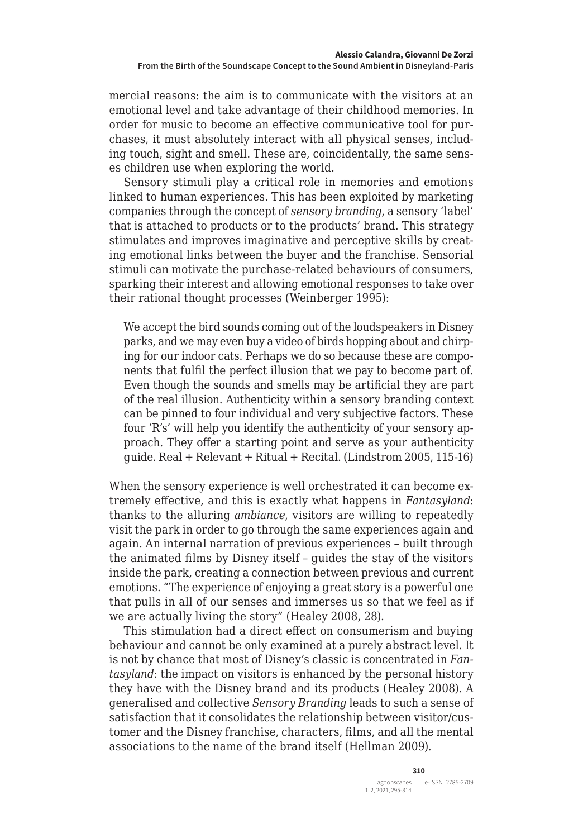mercial reasons: the aim is to communicate with the visitors at an emotional level and take advantage of their childhood memories. In order for music to become an effective communicative tool for purchases, it must absolutely interact with all physical senses, including touch, sight and smell. These are, coincidentally, the same senses children use when exploring the world.

Sensory stimuli play a critical role in memories and emotions linked to human experiences. This has been exploited by marketing companies through the concept of *sensory branding*, a sensory 'label' that is attached to products or to the products' brand. This strategy stimulates and improves imaginative and perceptive skills by creating emotional links between the buyer and the franchise. Sensorial stimuli can motivate the purchase-related behaviours of consumers, sparking their interest and allowing emotional responses to take over their rational thought processes (Weinberger 1995):

We accept the bird sounds coming out of the loudspeakers in Disney parks, and we may even buy a video of birds hopping about and chirping for our indoor cats. Perhaps we do so because these are components that fulfil the perfect illusion that we pay to become part of. Even though the sounds and smells may be artificial they are part of the real illusion. Authenticity within a sensory branding context can be pinned to four individual and very subjective factors. These four 'R's' will help you identify the authenticity of your sensory approach. They offer a starting point and serve as your authenticity guide. Real + Relevant + Ritual + Recital. (Lindstrom 2005, 115-16)

When the sensory experience is well orchestrated it can become extremely effective, and this is exactly what happens in *Fantasyland*: thanks to the alluring *ambiance*, visitors are willing to repeatedly visit the park in order to go through the same experiences again and again. An internal narration of previous experiences – built through the animated films by Disney itself – guides the stay of the visitors inside the park, creating a connection between previous and current emotions. "The experience of enjoying a great story is a powerful one that pulls in all of our senses and immerses us so that we feel as if we are actually living the story" (Healey 2008, 28).

This stimulation had a direct effect on consumerism and buying behaviour and cannot be only examined at a purely abstract level. It is not by chance that most of Disney's classic is concentrated in *Fantasyland*: the impact on visitors is enhanced by the personal history they have with the Disney brand and its products (Healey 2008). A generalised and collective *Sensory Branding* leads to such a sense of satisfaction that it consolidates the relationship between visitor/customer and the Disney franchise, characters, films, and all the mental associations to the name of the brand itself (Hellman 2009).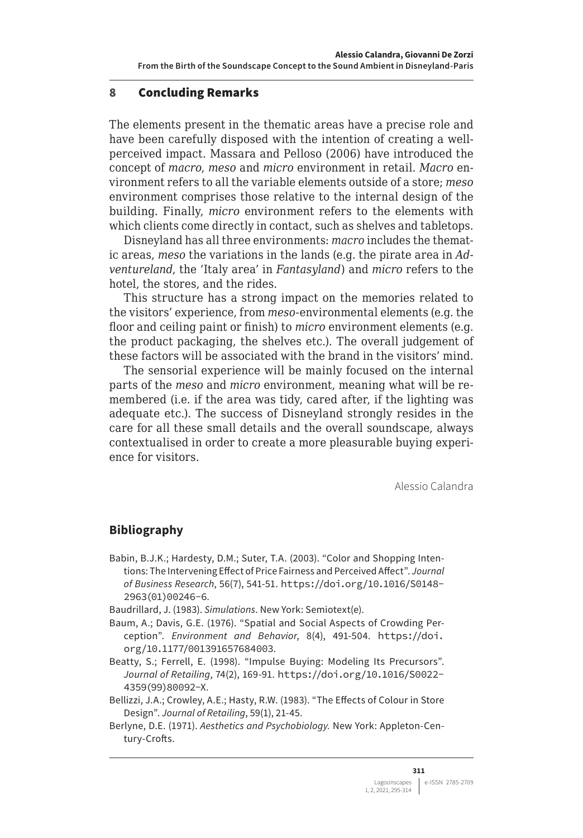#### <span id="page-16-0"></span>8 Concluding Remarks

The elements present in the thematic areas have a precise role and have been carefully disposed with the intention of creating a wellperceived impact. Massara and Pelloso (2006) have introduced the concept of *macro*, *meso* and *micro* environment in retail. *Macro* environment refers to all the variable elements outside of a store; *meso*  environment comprises those relative to the internal design of the building. Finally, *micro* environment refers to the elements with which clients come directly in contact, such as shelves and tabletops.

Disneyland has all three environments: *macro* includes the thematic areas, *meso* the variations in the lands (e.g. the pirate area in *Adventureland*, the 'Italy area' in *Fantasyland*) and *micro* refers to the hotel, the stores, and the rides.

This structure has a strong impact on the memories related to the visitors' experience, from *meso-*environmental elements (e.g. the floor and ceiling paint or finish) to *micro* environment elements (e.g. the product packaging, the shelves etc.). The overall judgement of these factors will be associated with the brand in the visitors' mind.

The sensorial experience will be mainly focused on the internal parts of the *meso* and *micro* environment, meaning what will be remembered (i.e. if the area was tidy, cared after, if the lighting was adequate etc.). The success of Disneyland strongly resides in the care for all these small details and the overall soundscape, always contextualised in order to create a more pleasurable buying experience for visitors.

Alessio Calandra

#### **Bibliography**

- Babin, B.J.K.; Hardesty, D.M.; Suter, T.A. (2003). "Color and Shopping Intentions: The Intervening Effect of Price Fairness and Perceived Affect". *Journal of Business Research*, 56(7), 541-51. [https://doi.org/10.1016/S0148-](https://doi.org/10.1016/S0148-2963(01)00246-6) [2963\(01\)00246-6](https://doi.org/10.1016/S0148-2963(01)00246-6).
- Baudrillard, J. (1983). *Simulations*. New York: Semiotext(e).
- Baum, A.; Davis, G.E. (1976). "Spatial and Social Aspects of Crowding Perception". *Environment and Behavior*, 8(4), 491-504. [https://doi.](https://doi.org/10.1177/001391657684003) [org/10.1177/001391657684003](https://doi.org/10.1177/001391657684003).
- Beatty, S.; Ferrell, E. (1998). "Impulse Buying: Modeling Its Precursors". *Journal of Retailing*, 74(2), 169-91. [https://doi.org/10.1016/S0022-](https://doi.org/10.1016/S0022-4359(99)80092-X) [4359\(99\)80092-X](https://doi.org/10.1016/S0022-4359(99)80092-X).
- Bellizzi, J.A.; Crowley, A.E.; Hasty, R.W. (1983). "The Effects of Colour in Store Design". *Journal of Retailing*, 59(1), 21-45.
- Berlyne, D.E. (1971). *Aesthetics and Psychobiology.* New York: Appleton-Century-Crofts.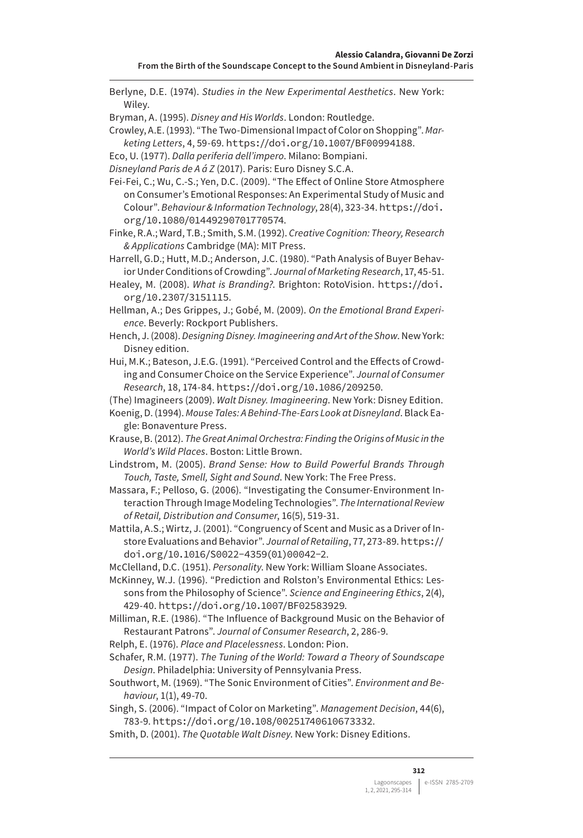Berlyne, D.E. (1974). *Studies in the New Experimental Aesthetics*. New York: Wiley.

Bryman, A. (1995). *Disney and His Worlds*. London: Routledge.

Crowley, A.E. (1993). "The Two-Dimensional Impact of Color on Shopping". *Marketing Letters*, 4, 59-69. <https://doi.org/10.1007/BF00994188>.

Eco, U. (1977). *Dalla periferia dell'impero*. Milano: Bompiani.

*Disneyland Paris de A á Z* (2017). Paris: Euro Disney S.C.A.

Fei-Fei, C.; Wu, C.-S.; Yen, D.C. (2009). "The Effect of Online Store Atmosphere on Consumer's Emotional Responses: An Experimental Study of Music and Colour". *Behaviour & Information Technology*, 28(4), 323-34. [https://doi.](https://doi.org/10.1080/01449290701770574) [org/10.1080/01449290701770574](https://doi.org/10.1080/01449290701770574).

Finke, R.A.; Ward, T.B.; Smith, S.M. (1992). *Creative Cognition: Theory, Research & Applications* Cambridge (MA): MIT Press.

Harrell, G.D.; Hutt, M.D.; Anderson, J.C. (1980). "Path Analysis of Buyer Behavior Under Conditions of Crowding". *Journal of Marketing Research*, 17, 45-51.

Healey, M. (2008). *What is Branding?*. Brighton: RotoVision. [https://doi.](https://doi.org/10.2307/3151115) [org/10.2307/3151115](https://doi.org/10.2307/3151115).

Hellman, A.; Des Grippes, J.; Gobé, M. (2009). *On the Emotional Brand Experience*. Beverly: Rockport Publishers.

Hench, J. (2008). *Designing Disney. Imagineering and Art of the Show*. New York: Disney edition.

Hui, M.K.; Bateson, J.E.G. (1991). "Perceived Control and the Effects of Crowding and Consumer Choice on the Service Experience". *Journal of Consumer Research*, 18, 174-84. <https://doi.org/10.1086/209250>.

(The) Imagineers (2009). *Walt Disney. Imagineering*. New York: Disney Edition.

Koenig, D. (1994). *Mouse Tales: A Behind-The-Ears Look at Disneyland*. Black Eagle: Bonaventure Press.

Krause, B. (2012). *The Great Animal Orchestra: Finding the Origins of Music in the World's Wild Places*. Boston: Little Brown.

Lindstrom, M. (2005). *Brand Sense: How to Build Powerful Brands Through Touch, Taste, Smell, Sight and Sound*. New York: The Free Press.

Massara, F.; Pelloso, G. (2006). "Investigating the Consumer-Environment Interaction Through Image Modeling Technologies". *The International Review of Retail, Distribution and Consumer*, 16(5), 519-31.

Mattila, A.S.; Wirtz, J. (2001). "Congruency of Scent and Music as a Driver of Instore Evaluations and Behavior". *Journal of Retailing*, 77, 273-89. [https://](https://doi.org/10.1016/S0022-4359(01)00042-2) [doi.org/10.1016/S0022-4359\(01\)00042-2](https://doi.org/10.1016/S0022-4359(01)00042-2).

McClelland, D.C. (1951). *Personality*. New York: William Sloane Associates.

McKinney, W.J. (1996). "Prediction and Rolston's Environmental Ethics: Lessons from the Philosophy of Science". *Science and Engineering Ethics*, 2(4), 429-40. <https://doi.org/10.1007/BF02583929>.

Milliman, R.E. (1986). "The Influence of Background Music on the Behavior of Restaurant Patrons". *Journal of Consumer Research*, 2, 286-9.

Relph, E. (1976). *Place and Placelessness*. London: Pion.

Schafer, R.M. (1977). *The Tuning of the World: Toward a Theory of Soundscape Design*. Philadelphia: University of Pennsylvania Press.

Southwort, M. (1969). "The Sonic Environment of Cities". *Environment and Behaviour*, 1(1), 49-70.

Singh, S. (2006). "Impact of Color on Marketing". *Management Decision*, 44(6), 783-9. <https://doi.org/10.108/00251740610673332>.

Smith, D. (2001). *The Quotable Walt Disney*. New York: Disney Editions.